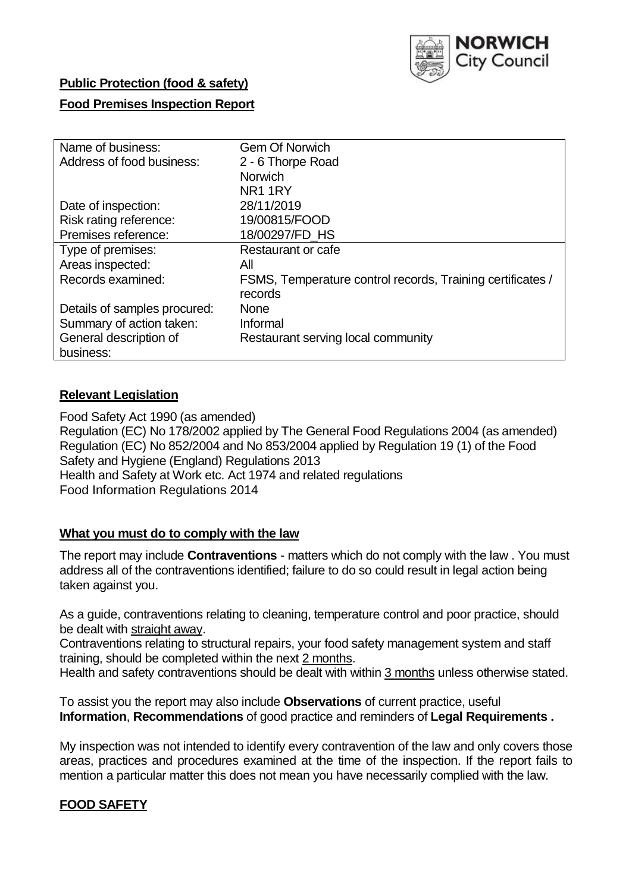

## **Public Protection (food & safety)**

### **Food Premises Inspection Report**

| Name of business:            | <b>Gem Of Norwich</b>                                      |
|------------------------------|------------------------------------------------------------|
| Address of food business:    | 2 - 6 Thorpe Road                                          |
|                              | <b>Norwich</b>                                             |
|                              | NR <sub>1</sub> 1RY                                        |
| Date of inspection:          | 28/11/2019                                                 |
| Risk rating reference:       | 19/00815/FOOD                                              |
| Premises reference:          | 18/00297/FD HS                                             |
| Type of premises:            | Restaurant or cafe                                         |
| Areas inspected:             | All                                                        |
| Records examined:            | FSMS, Temperature control records, Training certificates / |
|                              | records                                                    |
| Details of samples procured: | <b>None</b>                                                |
| Summary of action taken:     | Informal                                                   |
| General description of       | Restaurant serving local community                         |
| business:                    |                                                            |

## **Relevant Legislation**

Food Safety Act 1990 (as amended) Regulation (EC) No 178/2002 applied by The General Food Regulations 2004 (as amended) Regulation (EC) No 852/2004 and No 853/2004 applied by Regulation 19 (1) of the Food Safety and Hygiene (England) Regulations 2013 Health and Safety at Work etc. Act 1974 and related regulations Food Information Regulations 2014

#### **What you must do to comply with the law**

The report may include **Contraventions** - matters which do not comply with the law . You must address all of the contraventions identified; failure to do so could result in legal action being taken against you.

As a guide, contraventions relating to cleaning, temperature control and poor practice, should be dealt with straight away.

Contraventions relating to structural repairs, your food safety management system and staff training, should be completed within the next 2 months.

Health and safety contraventions should be dealt with within 3 months unless otherwise stated.

To assist you the report may also include **Observations** of current practice, useful **Information**, **Recommendations** of good practice and reminders of **Legal Requirements .**

My inspection was not intended to identify every contravention of the law and only covers those areas, practices and procedures examined at the time of the inspection. If the report fails to mention a particular matter this does not mean you have necessarily complied with the law.

# **FOOD SAFETY**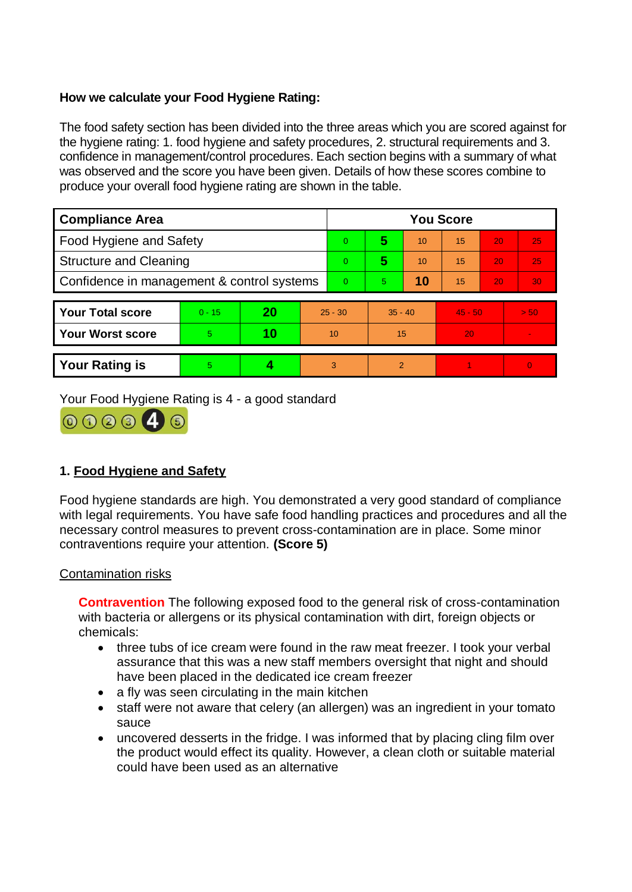## **How we calculate your Food Hygiene Rating:**

The food safety section has been divided into the three areas which you are scored against for the hygiene rating: 1. food hygiene and safety procedures, 2. structural requirements and 3. confidence in management/control procedures. Each section begins with a summary of what was observed and the score you have been given. Details of how these scores combine to produce your overall food hygiene rating are shown in the table.

| <b>Compliance Area</b>                     |          |    |           | <b>You Score</b> |                |    |           |    |                |    |  |  |
|--------------------------------------------|----------|----|-----------|------------------|----------------|----|-----------|----|----------------|----|--|--|
| Food Hygiene and Safety                    |          |    |           | $\mathbf{0}$     | 5              | 10 | 15        | 20 |                | 25 |  |  |
| <b>Structure and Cleaning</b>              |          |    |           | $\Omega$         | 5<br>10        |    | 15        | 20 |                | 25 |  |  |
| Confidence in management & control systems |          |    |           | $\Omega$         | 10<br>5.       |    | 15        | 20 |                | 30 |  |  |
|                                            |          |    |           |                  |                |    |           |    |                |    |  |  |
| <b>Your Total score</b>                    | $0 - 15$ | 20 | $25 - 30$ |                  | $35 - 40$      |    | $45 - 50$ |    | > 50           |    |  |  |
| <b>Your Worst score</b>                    | 5.       | 10 | 10        |                  | 15             |    | 20        |    | $\blacksquare$ |    |  |  |
|                                            |          |    |           |                  |                |    |           |    |                |    |  |  |
| <b>Your Rating is</b>                      | 5        |    | 3         |                  | $\overline{2}$ |    |           |    | $\overline{0}$ |    |  |  |

Your Food Hygiene Rating is 4 - a good standard



# **1. Food Hygiene and Safety**

Food hygiene standards are high. You demonstrated a very good standard of compliance with legal requirements. You have safe food handling practices and procedures and all the necessary control measures to prevent cross-contamination are in place. Some minor contraventions require your attention. **(Score 5)**

#### Contamination risks

**Contravention** The following exposed food to the general risk of cross-contamination with bacteria or allergens or its physical contamination with dirt, foreign objects or chemicals:

- three tubs of ice cream were found in the raw meat freezer. I took your verbal assurance that this was a new staff members oversight that night and should have been placed in the dedicated ice cream freezer
- a fly was seen circulating in the main kitchen
- staff were not aware that celery (an allergen) was an ingredient in your tomato sauce
- uncovered desserts in the fridge. I was informed that by placing cling film over the product would effect its quality. However, a clean cloth or suitable material could have been used as an alternative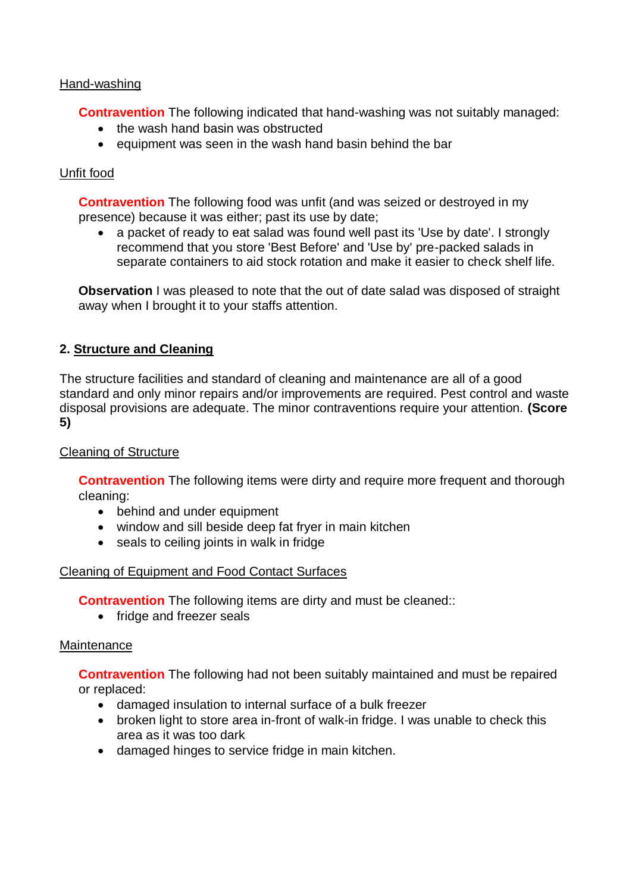## Hand-washing

**Contravention** The following indicated that hand-washing was not suitably managed:

- the wash hand basin was obstructed
- equipment was seen in the wash hand basin behind the bar

## Unfit food

**Contravention** The following food was unfit (and was seized or destroyed in my presence) because it was either; past its use by date;

• a packet of ready to eat salad was found well past its 'Use by date'. I strongly recommend that you store 'Best Before' and 'Use by' pre-packed salads in separate containers to aid stock rotation and make it easier to check shelf life.

**Observation** I was pleased to note that the out of date salad was disposed of straight away when I brought it to your staffs attention.

## **2. Structure and Cleaning**

The structure facilities and standard of cleaning and maintenance are all of a good standard and only minor repairs and/or improvements are required. Pest control and waste disposal provisions are adequate. The minor contraventions require your attention. **(Score 5)**

#### Cleaning of Structure

**Contravention** The following items were dirty and require more frequent and thorough cleaning:

- behind and under equipment
- window and sill beside deep fat fryer in main kitchen
- seals to ceiling joints in walk in fridge

#### Cleaning of Equipment and Food Contact Surfaces

**Contravention** The following items are dirty and must be cleaned::

• fridge and freezer seals

#### **Maintenance**

**Contravention** The following had not been suitably maintained and must be repaired or replaced:

- damaged insulation to internal surface of a bulk freezer
- broken light to store area in-front of walk-in fridge. I was unable to check this area as it was too dark
- damaged hinges to service fridge in main kitchen.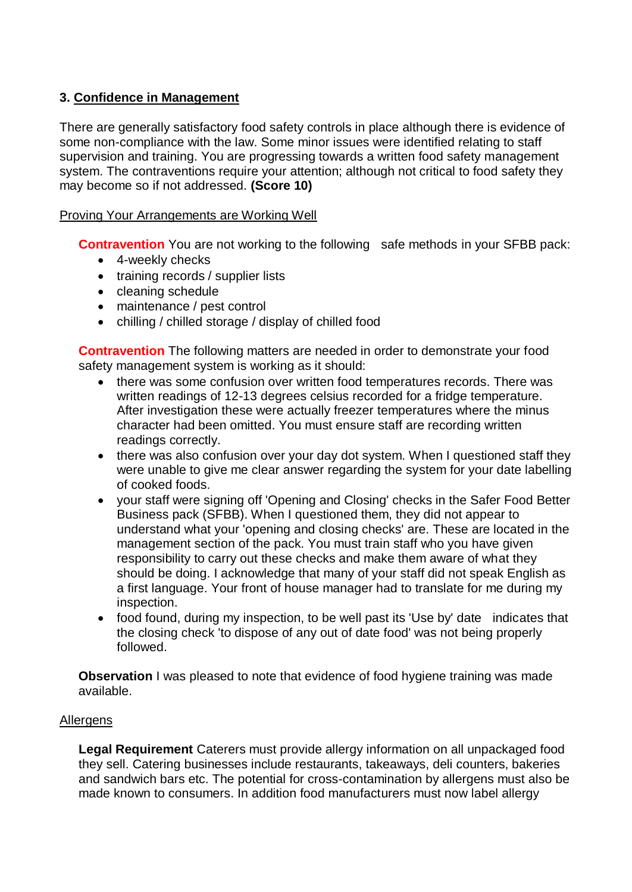# **3. Confidence in Management**

There are generally satisfactory food safety controls in place although there is evidence of some non-compliance with the law. Some minor issues were identified relating to staff supervision and training. You are progressing towards a written food safety management system. The contraventions require your attention; although not critical to food safety they may become so if not addressed. **(Score 10)**

### Proving Your Arrangements are Working Well

**Contravention** You are not working to the following safe methods in your SFBB pack:

- 4-weekly checks
- training records / supplier lists
- cleaning schedule
- maintenance / pest control
- chilling / chilled storage / display of chilled food

**Contravention** The following matters are needed in order to demonstrate your food safety management system is working as it should:

- there was some confusion over written food temperatures records. There was written readings of 12-13 degrees celsius recorded for a fridge temperature. After investigation these were actually freezer temperatures where the minus character had been omitted. You must ensure staff are recording written readings correctly.
- there was also confusion over your day dot system. When I questioned staff they were unable to give me clear answer regarding the system for your date labelling of cooked foods.
- your staff were signing off 'Opening and Closing' checks in the Safer Food Better Business pack (SFBB). When I questioned them, they did not appear to understand what your 'opening and closing checks' are. These are located in the management section of the pack. You must train staff who you have given responsibility to carry out these checks and make them aware of what they should be doing. I acknowledge that many of your staff did not speak English as a first language. Your front of house manager had to translate for me during my inspection.
- food found, during my inspection, to be well past its 'Use by' date indicates that the closing check 'to dispose of any out of date food' was not being properly followed.

**Observation** I was pleased to note that evidence of food hygiene training was made available.

#### Allergens

**Legal Requirement** Caterers must provide allergy information on all unpackaged food they sell. Catering businesses include restaurants, takeaways, deli counters, bakeries and sandwich bars etc. The potential for cross-contamination by allergens must also be made known to consumers. In addition food manufacturers must now label allergy